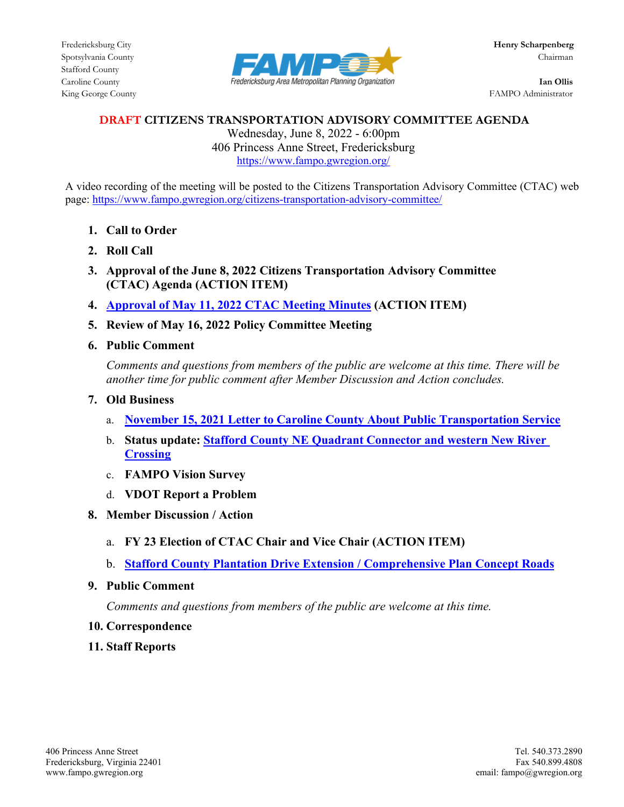

King George County FAMPO Administrator

## **DRAFT CITIZENS TRANSPORTATION ADVISORY COMMITTEE AGENDA**

Wednesday, June 8, 2022 - 6:00pm 406 Princess Anne Street, Fredericksburg <https://www.fampo.gwregion.org/>

A video recording of the meeting will be posted to the Citizens Transportation Advisory Committee (CTAC) web page[: https://www.fampo.gwregion.org/citizens-transportation-advisory-committee/](https://www.fampo.gwregion.org/citizens-transportation-advisory-committee/)

- **1. Call to Order**
- **2. Roll Call**
- **3. Approval of the June 8, 2022 Citizens Transportation Advisory Committee (CTAC) Agenda (ACTION ITEM)**
- **4. Approval of May 11, 2022 [CTAC Meeting Minutes](https://www.fampo.gwregion.org/wp-content/uploads/2022/05/05.11.2022_CTAC-MinutesDraftV2.pdf) (ACTION ITEM)**
- **5. Review of May 16, 2022 Policy Committee Meeting**
- **6. Public Comment**

*Comments and questions from members of the public are welcome at this time. There will be another time for public comment after Member Discussion and Action concludes.*

- **7. Old Business**
	- a. **[November 15, 2021 Letter to Caroline County About Public Transportation Service](https://www.fampo.gwregion.org/wp-content/uploads/2022/05/CarolineCoBusCTAC-Letter-and-Public-Comments.pdf)**
	- b. **Status update: [Stafford County NE Quadrant Connector and western New River](https://www.fampo.gwregion.org/wp-content/uploads/2022/05/FAMPO.CTACIdeasBPAC522.pdf)  [Crossing](https://www.fampo.gwregion.org/wp-content/uploads/2022/05/FAMPO.CTACIdeasBPAC522.pdf)**
	- c. **FAMPO Vision Survey**
	- d. **VDOT Report a Problem**
- **8. Member Discussion / Action**
	- a. **FY 23 Election of CTAC Chair and Vice Chair (ACTION ITEM)**
	- b. **[Stafford County Plantation Drive Extension / Comprehensive Plan Concept Roads](https://www.fampo.gwregion.org/wp-content/uploads/2022/05/CTAC.PlantationDrExt.pdf)**
- **9. Public Comment**

*Comments and questions from members of the public are welcome at this time.*

- **10. Correspondence**
- **11. Staff Reports**